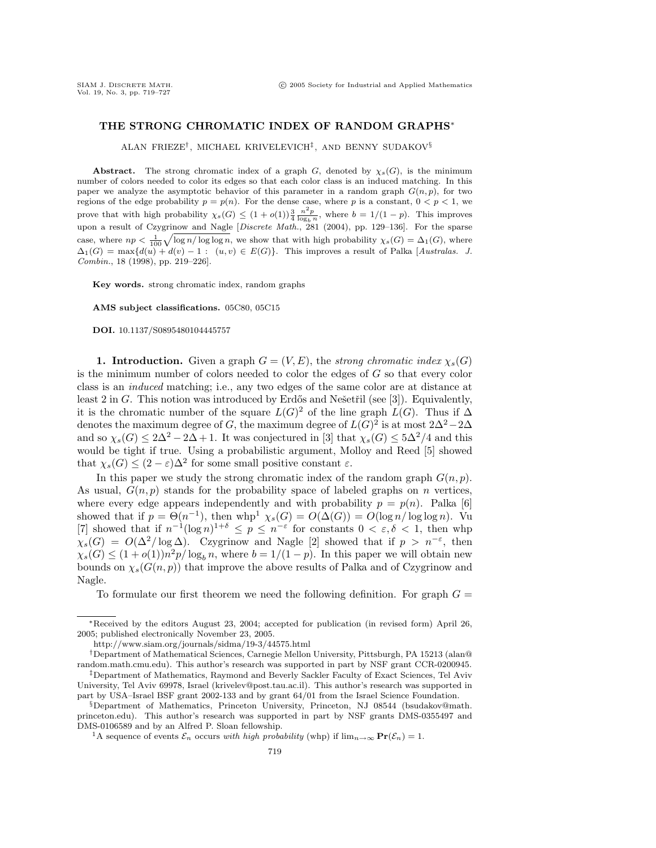## **THE STRONG CHROMATIC INDEX OF RANDOM GRAPHS**∗

ALAN FRIEZE†, MICHAEL KRIVELEVICH‡, AND BENNY SUDAKOV§

**Abstract.** The strong chromatic index of a graph G, denoted by  $\chi_s(G)$ , is the minimum number of colors needed to color its edges so that each color class is an induced matching. In this paper we analyze the asymptotic behavior of this parameter in a random graph  $G(n, p)$ , for two regions of the edge probability  $p = p(n)$ . For the dense case, where p is a constant,  $0 < p < 1$ , we prove that with high probability  $\chi_s(G) \leq (1 + o(1)) \frac{3}{4} \frac{n^2 p}{\log_b n}$ , where  $b = 1/(1 - p)$ . This improves upon a result of Czygrinow and Nagle [Discrete Math., 281 (2004), pp. 129-136]. For the sparse case, where  $np < \frac{1}{100} \sqrt{\log n / \log \log n}$ , we show that with high probability  $\chi_s(G) = \Delta_1(G)$ , where  $\Delta_1(G) = \max\{d(u) + d(v) - 1: (u, v) \in E(G)\}.$  This improves a result of Palka [Australas. J. Combin., 18 (1998), pp. 219–226].

**Key words.** strong chromatic index, random graphs

**AMS subject classifications.** 05C80, 05C15

**DOI.** 10.1137/S0895480104445757

**1. Introduction.** Given a graph  $G = (V, E)$ , the strong chromatic index  $\chi_s(G)$ is the minimum number of colors needed to color the edges of  $G$  so that every color class is an induced matching; i.e., any two edges of the same color are at distance at least  $2$  in  $G$ . This notion was introduced by Erdős and Nešetřil (see [3]). Equivalently, it is the chromatic number of the square  $L(G)^2$  of the line graph  $L(G)$ . Thus if  $\Delta$ denotes the maximum degree of G, the maximum degree of  $L(G)^2$  is at most  $2\Delta^2-2\Delta$ and so  $\chi_s(G) \leq 2\Delta^2 - 2\Delta + 1$ . It was conjectured in [3] that  $\chi_s(G) \leq 5\Delta^2/4$  and this would be tight if true. Using a probabilistic argument, Molloy and Reed [5] showed that  $\chi_s(G) \leq (2 - \varepsilon) \Delta^2$  for some small positive constant  $\varepsilon$ .

In this paper we study the strong chromatic index of the random graph  $G(n, p)$ . As usual,  $G(n, p)$  stands for the probability space of labeled graphs on n vertices, where every edge appears independently and with probability  $p = p(n)$ . Palka [6] showed that if  $p = \Theta(n^{-1})$ , then whp<sup>1</sup>  $\chi_s(G) = O(\Delta(G)) = O(\log n / \log \log n)$ . Vu [7] showed that if  $n^{-1}(\log n)^{1+\delta} \leq p \leq n^{-\varepsilon}$  for constants  $0 < \varepsilon, \delta < 1$ , then whp  $\chi_s(G) = O(\Delta^2/\log \Delta)$ . Czygrinow and Nagle [2] showed that if  $p > n^{-\varepsilon}$ , then  $\chi_s(G) \leq (1+o(1))n^2p/\log_b n$ , where  $b=1/(1-p)$ . In this paper we will obtain new bounds on  $\chi_s(G(n, p))$  that improve the above results of Palka and of Czygrinow and Nagle.

To formulate our first theorem we need the following definition. For graph  $G =$ 

<sup>∗</sup>Received by the editors August 23, 2004; accepted for publication (in revised form) April 26, 2005; published electronically November 23, 2005.

http://www.siam.org/journals/sidma/19-3/44575.html

<sup>†</sup>Department of Mathematical Sciences, Carnegie Mellon University, Pittsburgh, PA 15213 (alan@ random.math.cmu.edu). This author's research was supported in part by NSF grant CCR-0200945. ‡Department of Mathematics, Raymond and Beverly Sackler Faculty of Exact Sciences, Tel Aviv

University, Tel Aviv 69978, Israel (krivelev@post.tau.ac.il). This author's research was supported in part by USA–Israel BSF grant 2002-133 and by grant 64/01 from the Israel Science Foundation.

<sup>§</sup>Department of Mathematics, Princeton University, Princeton, NJ 08544 (bsudakov@math. princeton.edu). This author's research was supported in part by NSF grants DMS-0355497 and DMS-0106589 and by an Alfred P. Sloan fellowship.

<sup>&</sup>lt;sup>1</sup>A sequence of events  $\mathcal{E}_n$  occurs with high probability (whp) if  $\lim_{n\to\infty} \mathbf{Pr}(\mathcal{E}_n) = 1$ .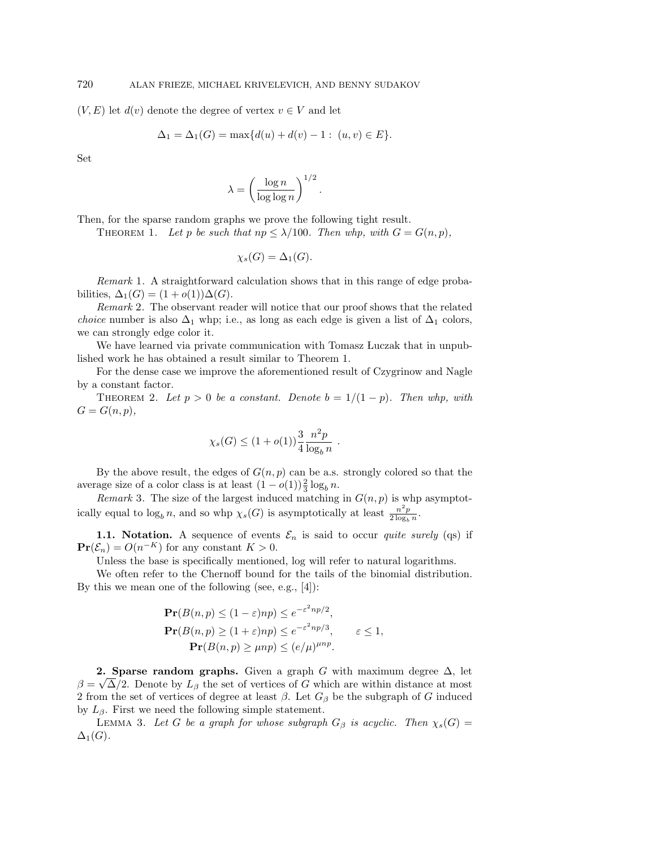$(V, E)$  let  $d(v)$  denote the degree of vertex  $v \in V$  and let

$$
\Delta_1 = \Delta_1(G) = \max\{d(u) + d(v) - 1: (u, v) \in E\}.
$$

Set

$$
\lambda = \left(\frac{\log n}{\log \log n}\right)^{1/2}.
$$

Then, for the sparse random graphs we prove the following tight result.

THEOREM 1. Let p be such that  $np \leq \lambda/100$ . Then whp, with  $G = G(n, p)$ ,

$$
\chi_s(G) = \Delta_1(G).
$$

Remark 1. A straightforward calculation shows that in this range of edge probabilities,  $\Delta_1(G) = (1 + o(1))\Delta(G)$ .

Remark 2. The observant reader will notice that our proof shows that the related *choice* number is also  $\Delta_1$  whp; i.e., as long as each edge is given a list of  $\Delta_1$  colors, we can strongly edge color it.

We have learned via private communication with Tomasz Luczak that in unpublished work he has obtained a result similar to Theorem 1.

For the dense case we improve the aforementioned result of Czygrinow and Nagle by a constant factor.

THEOREM 2. Let  $p > 0$  be a constant. Denote  $b = 1/(1 - p)$ . Then whp, with  $G = G(n, p),$ 

$$
\chi_s(G) \le (1 + o(1)) \frac{3}{4} \frac{n^2 p}{\log_b n}.
$$

By the above result, the edges of  $G(n, p)$  can be a.s. strongly colored so that the average size of a color class is at least  $(1 - o(1)) \frac{2}{3} \log_b n$ .

*Remark* 3. The size of the largest induced matching in  $G(n, p)$  is whp asymptotically equal to  $\log_b n$ , and so whp  $\chi_s(G)$  is asymptotically at least  $\frac{n^2 p}{2 \log_b n}$ .

**1.1. Notation.** A sequence of events  $\mathcal{E}_n$  is said to occur *quite surely* (qs) if  $\mathbf{Pr}(\mathcal{E}_n) = O(n^{-K})$  for any constant  $K > 0$ .

Unless the base is specifically mentioned, log will refer to natural logarithms.

We often refer to the Chernoff bound for the tails of the binomial distribution. By this we mean one of the following (see, e.g., [4]):

$$
\begin{aligned} \mathbf{Pr}(B(n, p) \le (1 - \varepsilon)np) &\le e^{-\varepsilon^2 np/2}, \\ \mathbf{Pr}(B(n, p) \ge (1 + \varepsilon)np) &\le e^{-\varepsilon^2 np/3}, \qquad \varepsilon \le 1, \\ \mathbf{Pr}(B(n, p) \ge \mu np) &\le (e/\mu)^{\mu np}. \end{aligned}
$$

**2. Sparse random graphs.** Given a graph G with maximum degree  $\Delta$ , let **2. Sparse random graphs.** Given a graph G with maximum degree  $\Delta$ , let  $\beta = \sqrt{\Delta}/2$ . Denote by  $L_{\beta}$  the set of vertices of G which are within distance at most 2 from the set of vertices of degree at least  $\beta$ . Let  $G_{\beta}$  be the subgraph of G induced by  $L_{\beta}$ . First we need the following simple statement.

LEMMA 3. Let G be a graph for whose subgraph  $G_\beta$  is acyclic. Then  $\chi_s(G)$  =  $\Delta_1(G)$ .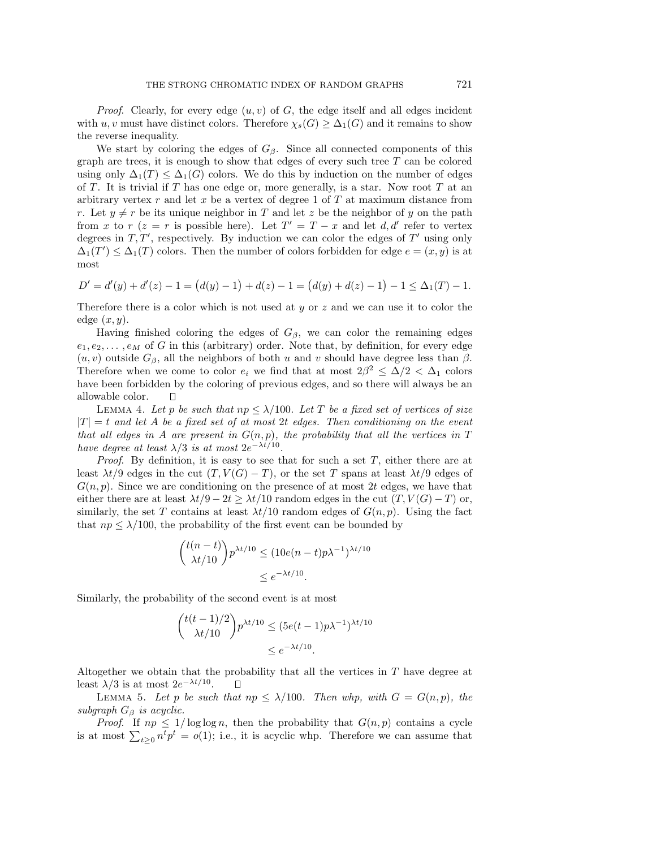*Proof.* Clearly, for every edge  $(u, v)$  of G, the edge itself and all edges incident with u, v must have distinct colors. Therefore  $\chi_s(G) \geq \Delta_1(G)$  and it remains to show the reverse inequality.

We start by coloring the edges of  $G_\beta$ . Since all connected components of this graph are trees, it is enough to show that edges of every such tree T can be colored using only  $\Delta_1(T) \leq \Delta_1(G)$  colors. We do this by induction on the number of edges of  $T$ . It is trivial if  $T$  has one edge or, more generally, is a star. Now root  $T$  at an arbitrary vertex  $r$  and let  $x$  be a vertex of degree 1 of  $T$  at maximum distance from r. Let  $y \neq r$  be its unique neighbor in T and let z be the neighbor of y on the path from x to r (z = r is possible here). Let  $T' = T - x$  and let  $d, d'$  refer to vertex degrees in  $T, T'$ , respectively. By induction we can color the edges of  $T'$  using only  $\Delta_1(T') \leq \Delta_1(T)$  colors. Then the number of colors forbidden for edge  $e = (x, y)$  is at most

$$
D' = d'(y) + d'(z) - 1 = (d(y) - 1) + d(z) - 1 = (d(y) + d(z) - 1) - 1 \le \Delta_1(T) - 1.
$$

Therefore there is a color which is not used at y or z and we can use it to color the edge  $(x, y)$ .

Having finished coloring the edges of  $G_\beta$ , we can color the remaining edges  $e_1, e_2, \ldots, e_M$  of G in this (arbitrary) order. Note that, by definition, for every edge  $(u, v)$  outside  $G_\beta$ , all the neighbors of both u and v should have degree less than  $\beta$ . Therefore when we come to color  $e_i$  we find that at most  $2\beta^2 \leq \Delta/2 < \Delta_1$  colors have been forbidden by the coloring of previous edges, and so there will always be an allowable color.  $\perp$ 

LEMMA 4. Let p be such that  $np \leq \lambda/100$ . Let T be a fixed set of vertices of size  $|T| = t$  and let A be a fixed set of at most 2t edges. Then conditioning on the event that all edges in A are present in  $G(n, p)$ , the probability that all the vertices in T have degree at least  $\lambda/3$  is at most  $2e^{-\lambda t/10}$ .

*Proof.* By definition, it is easy to see that for such a set  $T$ , either there are at least  $\lambda t/9$  edges in the cut  $(T, V(G) - T)$ , or the set T spans at least  $\lambda t/9$  edges of  $G(n, p)$ . Since we are conditioning on the presence of at most 2t edges, we have that either there are at least  $\lambda t/9 - 2t \geq \lambda t/10$  random edges in the cut  $(T, V(G) - T)$  or, similarly, the set T contains at least  $\lambda t/10$  random edges of  $G(n, p)$ . Using the fact that  $np \leq \lambda/100$ , the probability of the first event can be bounded by

$$
\binom{t(n-t)}{\lambda t/10} p^{\lambda t/10} \le (10e(n-t)p\lambda^{-1})^{\lambda t/10}
$$
  

$$
\le e^{-\lambda t/10}.
$$

Similarly, the probability of the second event is at most

$$
\binom{t(t-1)/2}{\lambda t/10} p^{\lambda t/10} \le (5e(t-1)p\lambda^{-1})^{\lambda t/10}
$$
  

$$
\le e^{-\lambda t/10}.
$$

Altogether we obtain that the probability that all the vertices in T have degree at least  $\lambda/3$  is at most  $2e^{-\lambda t/10}$ .  $\Box$ 

LEMMA 5. Let p be such that  $np \leq \lambda/100$ . Then whp, with  $G = G(n, p)$ , the subgraph  $G_{\beta}$  is acyclic.

*Proof.* If  $np \leq 1/\log \log n$ , then the probability that  $G(n, p)$  contains a cycle is at most  $\sum_{t\geq 0} n^t p^t = o(1)$ ; i.e., it is acyclic whp. Therefore we can assume that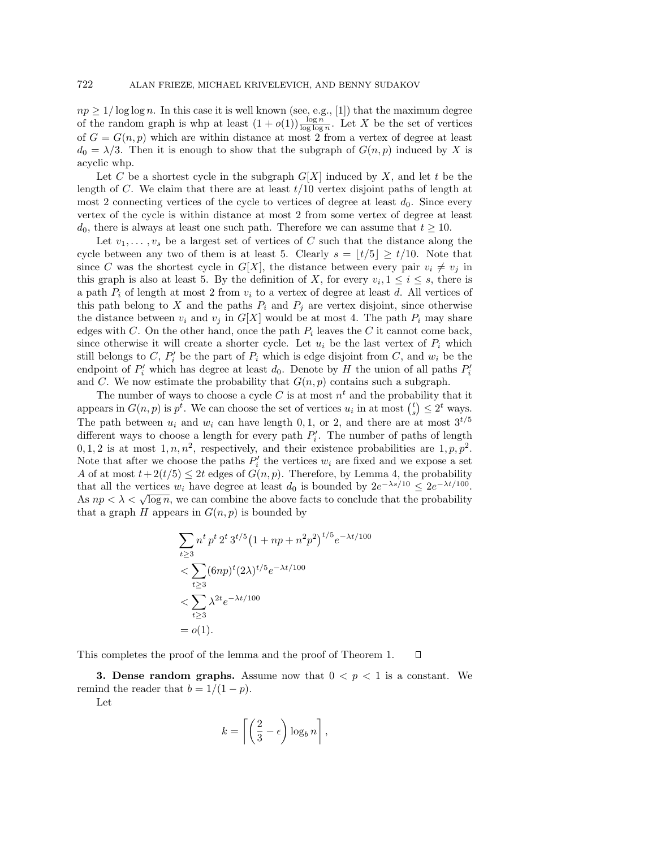$np \geq 1/\log \log n$ . In this case it is well known (see, e.g., [1]) that the maximum degree of the random graph is whp at least  $(1+o(1))\frac{\log n}{\log \log n}$ . Let X be the set of vertices of  $G = G(n, p)$  which are within distance at most 2 from a vertex of degree at least  $d_0 = \lambda/3$ . Then it is enough to show that the subgraph of  $G(n, p)$  induced by X is acyclic whp.

Let C be a shortest cycle in the subgraph  $G[X]$  induced by X, and let t be the length of C. We claim that there are at least  $t/10$  vertex disjoint paths of length at most 2 connecting vertices of the cycle to vertices of degree at least  $d_0$ . Since every vertex of the cycle is within distance at most 2 from some vertex of degree at least  $d_0$ , there is always at least one such path. Therefore we can assume that  $t \geq 10$ .

Let  $v_1, \ldots, v_s$  be a largest set of vertices of C such that the distance along the cycle between any two of them is at least 5. Clearly  $s = |t/5| \ge t/10$ . Note that since C was the shortest cycle in G[X], the distance between every pair  $v_i \neq v_j$  in this graph is also at least 5. By the definition of X, for every  $v_i, 1 \leq i \leq s$ , there is a path  $P_i$  of length at most 2 from  $v_i$  to a vertex of degree at least d. All vertices of this path belong to X and the paths  $P_i$  and  $P_j$  are vertex disjoint, since otherwise the distance between  $v_i$  and  $v_j$  in  $G[X]$  would be at most 4. The path  $P_i$  may share edges with C. On the other hand, once the path  $P_i$  leaves the C it cannot come back, since otherwise it will create a shorter cycle. Let  $u_i$  be the last vertex of  $P_i$  which still belongs to C,  $P'_i$  be the part of  $P_i$  which is edge disjoint from C, and  $w_i$  be the endpoint of  $P'_i$  which has degree at least  $d_0$ . Denote by H the union of all paths  $P'_i$ and C. We now estimate the probability that  $G(n, p)$  contains such a subgraph.

The number of ways to choose a cycle C is at most  $n<sup>t</sup>$  and the probability that it appears in  $G(n, p)$  is  $p^t$ . We can choose the set of vertices  $u_i$  in at most  $\binom{t}{s} \leq 2^t$  ways. The path between  $u_i$  and  $w_i$  can have length 0, 1, or 2, and there are at most  $3^{t/5}$ different ways to choose a length for every path  $P_i'$ . The number of paths of length 0, 1, 2 is at most  $1, n, n^2$ , respectively, and their existence probabilities are  $1, p, p^2$ . Note that after we choose the paths  $P'_i$  the vertices  $w_i$  are fixed and we expose a set A of at most  $t+2(t/5) \leq 2t$  edges of  $G(n, p)$ . Therefore, by Lemma 4, the probability that all the vertices  $w_i$  have degree at least  $d_0$  is bounded by  $2e^{-\lambda s/10} \leq 2e^{-\lambda t/100}$ . As  $np < \lambda < \sqrt{\log n}$ , we can combine the above facts to conclude that the probability that a graph  $H$  appears in  $G(n, p)$  is bounded by

$$
\sum_{t\geq 3} n^t p^t 2^t 3^{t/5} (1 + np + n^2 p^2)^{t/5} e^{-\lambda t/100}
$$
  
< 
$$
< \sum_{t\geq 3} (6np)^t (2\lambda)^{t/5} e^{-\lambda t/100}
$$
  
< 
$$
< \sum_{t\geq 3} \lambda^{2t} e^{-\lambda t/100}
$$
  
=  $o(1)$ .

 $\Box$ This completes the proof of the lemma and the proof of Theorem 1.

**3. Dense random graphs.** Assume now that  $0 < p < 1$  is a constant. We remind the reader that  $b = 1/(1 - p)$ .

Let

$$
k = \left\lceil \left(\frac{2}{3} - \epsilon\right) \log_b n \right\rceil
$$

,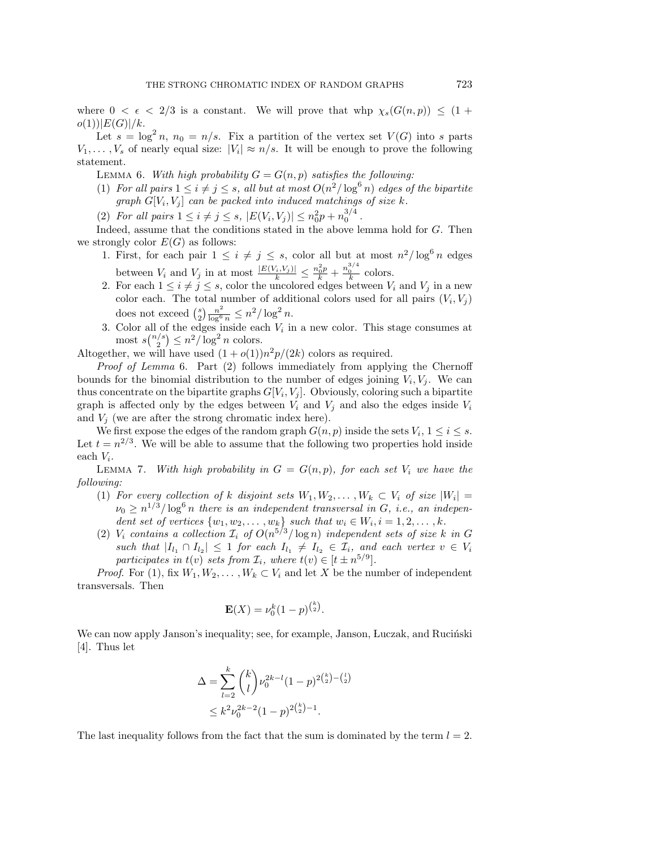where  $0 < \epsilon < 2/3$  is a constant. We will prove that whp  $\chi_s(G(n, p)) \leq (1 +$  $o(1))|E(G)|/k.$ 

Let  $s = \log^2 n$ ,  $n_0 = n/s$ . Fix a partition of the vertex set  $V(G)$  into s parts  $V_1,\ldots,V_s$  of nearly equal size:  $|V_i|\approx n/s$ . It will be enough to prove the following statement.

LEMMA 6. With high probability  $G = G(n, p)$  satisfies the following:

- (1) For all pairs  $1 \leq i \neq j \leq s$ , all but at most  $O(n^2/\log^6 n)$  edges of the bipartite graph  $G[V_i, V_j]$  can be packed into induced matchings of size k.
- (2) For all pairs  $1 \leq i \neq j \leq s$ ,  $|E(V_i, V_j)| \leq n_0^2 p + n_0^{3/4}$ .

Indeed, assume that the conditions stated in the above lemma hold for  $G$ . Then we strongly color  $E(G)$  as follows:

- 1. First, for each pair  $1 \leq i \neq j \leq s$ , color all but at most  $n^2/\log^6 n$  edges between  $V_i$  and  $V_j$  in at most  $\frac{|E(V_i, V_j)|}{k} \leq \frac{n_0^2 p}{k} + \frac{n_0^{3/4}}{k}$  colors.
- 2. For each  $1 \leq i \neq j \leq s$ , color the uncolored edges between  $V_i$  and  $V_j$  in a new color each. The total number of additional colors used for all pairs  $(V_i, V_j)$ does not exceed  $\binom{s}{2} \frac{n^2}{\log^6 n} \leq n^2 / \log^2 n$ .
- 3. Color all of the edges inside each  $V_i$  in a new color. This stage consumes at most  $s\binom{n/s}{2} \leq n^2/\log^2 n$  colors.

Altogether, we will have used  $(1+o(1))n^2p/(2k)$  colors as required.

Proof of Lemma 6. Part (2) follows immediately from applying the Chernoff bounds for the binomial distribution to the number of edges joining  $V_i, V_j$ . We can thus concentrate on the bipartite graphs  $G[V_i, V_j]$ . Obviously, coloring such a bipartite graph is affected only by the edges between  $V_i$  and  $V_j$  and also the edges inside  $V_i$ and  $V_i$  (we are after the strong chromatic index here).

We first expose the edges of the random graph  $G(n, p)$  inside the sets  $V_i$ ,  $1 \leq i \leq s$ . Let  $t = n^{2/3}$ . We will be able to assume that the following two properties hold inside each  $V_i$ .

LEMMA 7. With high probability in  $G = G(n, p)$ , for each set  $V_i$  we have the following:

- (1) For every collection of k disjoint sets  $W_1, W_2, \ldots, W_k \subset V_i$  of size  $|W_i| =$  $\nu_0 \geq n^{1/3} / \log^6 n$  there is an independent transversal in G, i.e., an independent set of vertices  $\{w_1, w_2, \ldots, w_k\}$  such that  $w_i \in W_i, i = 1, 2, \ldots, k$ .
- (2)  $V_i$  contains a collection  $\mathcal{I}_i$  of  $O(n^{5/3}/\log n)$  independent sets of size k in G such that  $|I_{l_1} \cap I_{l_2}| \leq 1$  for each  $I_{l_1} \neq I_{l_2} \in \mathcal{I}_i$ , and each vertex  $v \in V_i$ participates in  $t(v)$  sets from  $\mathcal{I}_i$ , where  $t(v) \in [t \pm n^{5/9}]$ .

*Proof.* For (1), fix  $W_1, W_2, \ldots, W_k \subset V_i$  and let X be the number of independent transversals. Then

$$
\mathbf{E}(X) = \nu_0^k (1 - p)^{\binom{k}{2}}.
$$

We can now apply Janson's inequality; see, for example, Janson, Luczak, and Ruciński [4]. Thus let

$$
\Delta = \sum_{l=2}^{k} {k \choose l} \nu_0^{2k-l} (1-p)^{2{k \choose 2} - {l \choose 2}}
$$
  

$$
\leq k^2 \nu_0^{2k-2} (1-p)^{2{k \choose 2} - 1}.
$$

The last inequality follows from the fact that the sum is dominated by the term  $l = 2$ .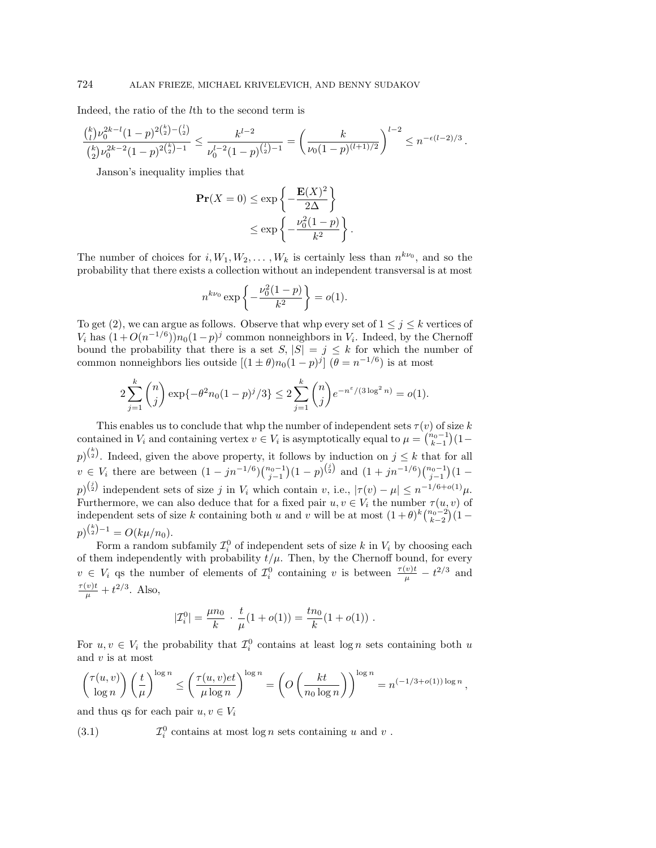Indeed, the ratio of the lth to the second term is

$$
\frac{\binom{k}{l}\nu_0^{2k-l}(1-p)^{2\binom{k}{2}-\binom{l}{2}}}{\binom{k}{2}\nu_0^{2k-2}(1-p)^{2\binom{k}{2}-1}} \le \frac{k^{l-2}}{\nu_0^{l-2}(1-p)^{\binom{l}{2}-1}} = \left(\frac{k}{\nu_0(1-p)^{(l+1)/2}}\right)^{l-2} \le n^{-\epsilon(l-2)/3}.
$$

Janson's inequality implies that

$$
\mathbf{Pr}(X=0) \le \exp\left\{-\frac{\mathbf{E}(X)^2}{2\Delta}\right\}
$$

$$
\le \exp\left\{-\frac{\nu_0^2(1-p)}{k^2}\right\}.
$$

The number of choices for  $i, W_1, W_2, \ldots, W_k$  is certainly less than  $n^{k\nu_0}$ , and so the probability that there exists a collection without an independent transversal is at most

$$
n^{k\nu_0} \exp\left\{-\frac{\nu_0^2(1-p)}{k^2}\right\} = o(1).
$$

To get (2), we can argue as follows. Observe that whp every set of  $1 \leq j \leq k$  vertices of  $V_i$  has  $(1+O(n^{-1/6}))n_0(1-p)^j$  common nonneighbors in  $V_i$ . Indeed, by the Chernoff bound the probability that there is a set S,  $|S| = j \leq k$  for which the number of common nonneighbors lies outside  $[(1 \pm \theta)n_0(1-p)^j]$   $(\theta = n^{-1/6})$  is at most

$$
2\sum_{j=1}^{k} {n \choose j} \exp\{-\theta^2 n_0 (1-p)^j / 3\} \le 2\sum_{j=1}^{k} {n \choose j} e^{-n^{\epsilon}/(3\log^2 n)} = o(1).
$$

This enables us to conclude that whp the number of independent sets  $\tau(v)$  of size k contained in  $V_i$  and containing vertex  $v \in V_i$  is asymptotically equal to  $\mu = \binom{n_0-1}{k-1}(1-\mu)$  $(p)^{k \choose 2}$ . Indeed, given the above property, it follows by induction on  $j \leq k$  that for all  $v \in V_i$  there are between  $(1 - jn^{-1/6})\binom{n_0-1}{j-1}(1-p)^{\binom{j}{2}}$  and  $(1 + jn^{-1/6})\binom{n_0-1}{j-1}(1-p)$ p)<sup>(i)</sup> independent sets of size j in  $V_i$  which contain v, i.e.,  $|\tau(v) - \mu| \leq n^{-1/6 + o(1)}\mu$ . Furthermore, we can also deduce that for a fixed pair  $u, v \in V_i$  the number  $\tau(u, v)$  of independent sets of size k containing both u and v will be at most  $(1+\theta)^k \binom{n_0-2}{k-2} (1-\theta)^{k-1}$  $p)^{\binom{k}{2}-1} = O(k\mu/n_0).$ 

Form a random subfamily  $\mathcal{I}_i^0$  of independent sets of size k in  $V_i$  by choosing each of them independently with probability  $t/\mu$ . Then, by the Chernoff bound, for every  $v \in V_i$  qs the number of elements of  $\mathcal{I}_i^0$  containing v is between  $\frac{\tau(v)t}{\mu} - t^{2/3}$  and  $\frac{\tau(v)t}{\mu} + t^{2/3}$ . Also,

$$
|\mathcal{I}_i^0| = \frac{\mu n_0}{k} \cdot \frac{t}{\mu} (1 + o(1)) = \frac{tn_0}{k} (1 + o(1)) \ .
$$

For  $u, v \in V_i$  the probability that  $\mathcal{I}_i^0$  contains at least  $\log n$  sets containing both u and  $v$  is at most

$$
\binom{\tau(u,v)}{\log n} \left(\frac{t}{\mu}\right)^{\log n} \le \left(\frac{\tau(u,v)et}{\mu \log n}\right)^{\log n} = \left(O\left(\frac{kt}{n_0 \log n}\right)\right)^{\log n} = n^{(-1/3 + o(1)) \log n},
$$

and thus qs for each pair  $u, v \in V_i$ 

(3.1)  $\mathcal{I}_i^0$  contains at most log *n* sets containing *u* and *v*.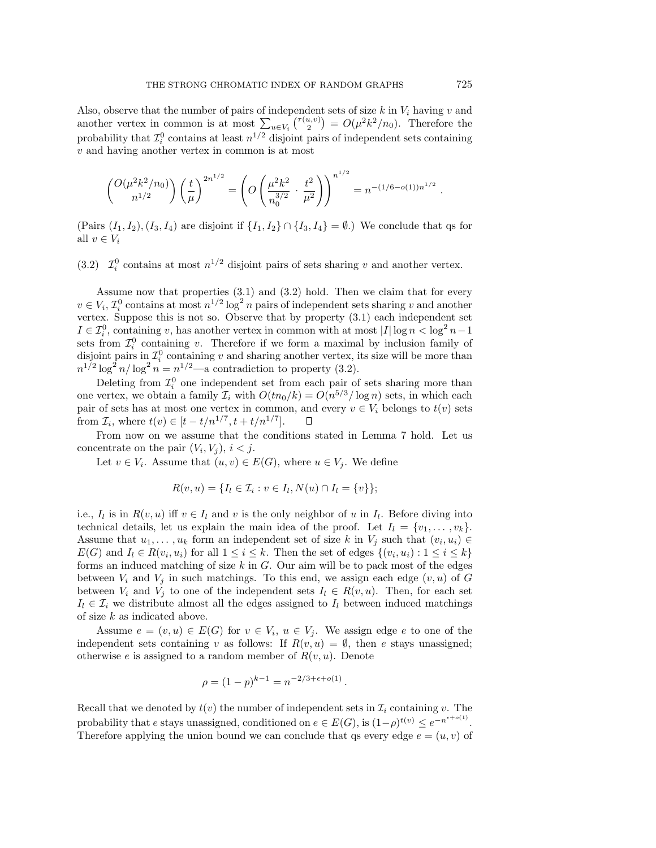Also, observe that the number of pairs of independent sets of size k in  $V_i$  having v and another vertex in common is at most  $\sum_{u \in V_i} {\tau(u,v) \choose 2} = O(\mu^2 k^2/n_0)$ . Therefore the probability that  $\mathcal{I}_i^0$  contains at least  $n^{1/2}$  disjoint pairs of independent sets containing v and having another vertex in common is at most

$$
\binom{O(\mu^2 k^2/n_0)}{n^{1/2}} \left(\frac{t}{\mu}\right)^{2n^{1/2}} = \left(O\left(\frac{\mu^2 k^2}{n_0^{3/2}} \cdot \frac{t^2}{\mu^2}\right)\right)^{n^{1/2}} = n^{-(1/6 - o(1))n^{1/2}}
$$

(Pairs  $(I_1, I_2), (I_3, I_4)$  are disjoint if  $\{I_1, I_2\} \cap \{I_3, I_4\} = \emptyset$ .) We conclude that qs for all  $v \in V_i$ 

(3.2)  $\mathcal{I}_i^0$  contains at most  $n^{1/2}$  disjoint pairs of sets sharing v and another vertex.

Assume now that properties (3.1) and (3.2) hold. Then we claim that for every  $v \in V_i$ ,  $\mathcal{I}_i^0$  contains at most  $n^{1/2} \log^2 n$  pairs of independent sets sharing v and another vertex. Suppose this is not so. Observe that by property (3.1) each independent set  $I \in \mathcal{I}_i^0$ , containing v, has another vertex in common with at most  $|I| \log n < \log^2 n - 1$ sets from  $\mathcal{I}_i^0$  containing v. Therefore if we form a maximal by inclusion family of disjoint pairs in  $\mathcal{I}_i^0$  containing v and sharing another vertex, its size will be more than  $n^{1/2} \log^2 n / \log^2 n = n^{1/2}$  contradiction to property (3.2).

Deleting from  $\mathcal{I}_i^0$  one independent set from each pair of sets sharing more than one vertex, we obtain a family  $\mathcal{I}_i$  with  $O(tn_0/k) = O(n^{5/3}/\log n)$  sets, in which each pair of sets has at most one vertex in common, and every  $v \in V_i$  belongs to  $t(v)$  sets from  $\mathcal{I}_i$ , where  $t(v) \in [t - t/n^{1/7}, t + t/n^{1/7}]$ .  $\Box$ 

From now on we assume that the conditions stated in Lemma 7 hold. Let us concentrate on the pair  $(V_i, V_j), i < j$ .

Let  $v \in V_i$ . Assume that  $(u, v) \in E(G)$ , where  $u \in V_i$ . We define

$$
R(v, u) = \{I_l \in \mathcal{I}_i : v \in I_l, N(u) \cap I_l = \{v\}\};
$$

i.e.,  $I_l$  is in  $R(v, u)$  iff  $v \in I_l$  and v is the only neighbor of u in  $I_l$ . Before diving into technical details, let us explain the main idea of the proof. Let  $I_l = \{v_1, \ldots, v_k\}$ . Assume that  $u_1, \ldots, u_k$  form an independent set of size k in  $V_i$  such that  $(v_i, u_i) \in$  $E(G)$  and  $I_l \in R(v_i, u_i)$  for all  $1 \leq i \leq k$ . Then the set of edges  $\{(v_i, u_i): 1 \leq i \leq k\}$ forms an induced matching of size  $k$  in  $G$ . Our aim will be to pack most of the edges between  $V_i$  and  $V_j$  in such matchings. To this end, we assign each edge  $(v, u)$  of G between  $V_i$  and  $V_j$  to one of the independent sets  $I_l \in R(v, u)$ . Then, for each set  $I_l \in \mathcal{I}_i$  we distribute almost all the edges assigned to  $I_l$  between induced matchings of size k as indicated above.

Assume  $e = (v, u) \in E(G)$  for  $v \in V_i$ ,  $u \in V_j$ . We assign edge e to one of the independent sets containing v as follows: If  $R(v, u) = \emptyset$ , then e stays unassigned; otherwise e is assigned to a random member of  $R(v, u)$ . Denote

$$
\rho = (1 - p)^{k - 1} = n^{-2/3 + \epsilon + o(1)}.
$$

Recall that we denoted by  $t(v)$  the number of independent sets in  $\mathcal{I}_i$  containing v. The probability that e stays unassigned, conditioned on  $e \in E(G)$ , is  $(1-\rho)^{t(v)} \leq e^{-n^{\epsilon+o(1)}}$ . Therefore applying the union bound we can conclude that qs every edge  $e = (u, v)$  of

.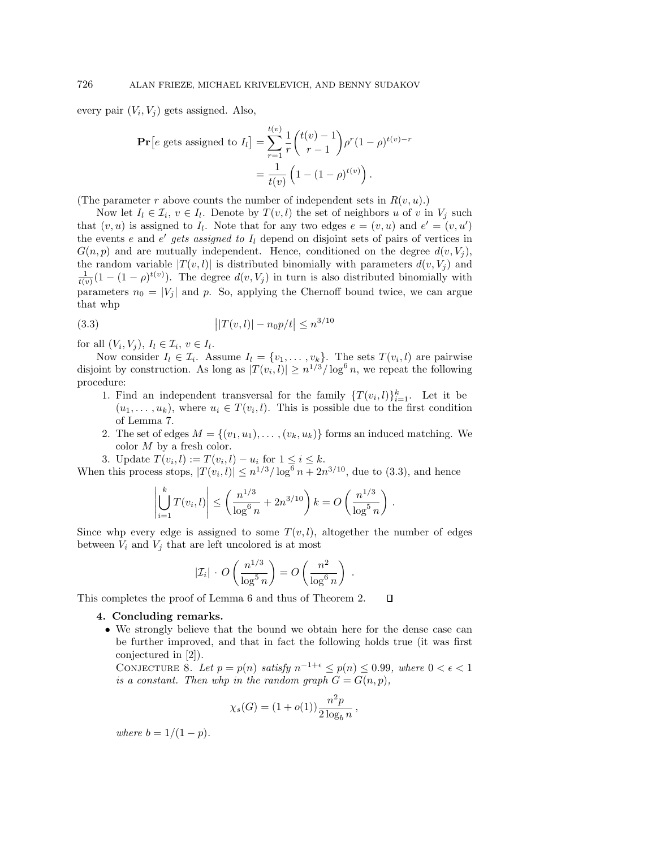every pair  $(V_i, V_j)$  gets assigned. Also,

$$
\begin{aligned} \mathbf{Pr}\left[e \text{ gets assigned to } I_l\right] &= \sum_{r=1}^{t(v)} \frac{1}{r} \binom{t(v)-1}{r-1} \rho^r (1-\rho)^{t(v)-r} \\ &= \frac{1}{t(v)} \left(1 - (1-\rho)^{t(v)}\right). \end{aligned}
$$

(The parameter r above counts the number of independent sets in  $R(v, u)$ .)

Now let  $I_l \in \mathcal{I}_i$ ,  $v \in I_l$ . Denote by  $T(v, l)$  the set of neighbors u of v in  $V_j$  such that  $(v, u)$  is assigned to  $I_l$ . Note that for any two edges  $e = (v, u)$  and  $e' = (v, u')$ the events e and e' gets assigned to  $I_l$  depend on disjoint sets of pairs of vertices in  $G(n, p)$  and are mutually independent. Hence, conditioned on the degree  $d(v, V_i)$ , the random variable  $|T(v, l)|$  is distributed binomially with parameters  $d(v, V_i)$  and  $\frac{1}{t(v)}(1-(1-\rho)^{t(v)})$ . The degree  $d(v, V_j)$  in turn is also distributed binomially with parameters  $n_0 = |V_j|$  and p. So, applying the Chernoff bound twice, we can argue that whp

(3.3) 
$$
||T(v, l)| - n_0 p/t| \le n^{3/10}
$$

for all  $(V_i, V_j)$ ,  $I_l \in \mathcal{I}_i$ ,  $v \in I_l$ .

Now consider  $I_l \in \mathcal{I}_i$ . Assume  $I_l = \{v_1, \ldots, v_k\}$ . The sets  $T(v_i, l)$  are pairwise disjoint by construction. As long as  $|T(v_i, l)| \ge n^{1/3}/\log^6 n$ , we repeat the following procedure:

- 1. Find an independent transversal for the family  $\{T(v_i, l)\}_{i=1}^k$ . Let it be  $(u_1,\ldots,u_k)$ , where  $u_i \in T(v_i,l)$ . This is possible due to the first condition of Lemma 7.
- 2. The set of edges  $M = \{(v_1, u_1), \ldots, (v_k, u_k)\}\)$  forms an induced matching. We color M by a fresh color.

3. Update  $T(v_i, l) := T(v_i, l) - u_i$  for  $1 \le i \le k$ .

When this process stops,  $|T(v_i, l)| \leq n^{1/3} / \log^6 n + 2n^{3/10}$ , due to (3.3), and hence

$$
\left| \bigcup_{i=1}^{k} T(v_i, l) \right| \leq \left( \frac{n^{1/3}}{\log^6 n} + 2n^{3/10} \right) k = O\left( \frac{n^{1/3}}{\log^5 n} \right).
$$

Since whp every edge is assigned to some  $T(v, l)$ , altogether the number of edges between  $V_i$  and  $V_j$  that are left uncolored is at most

$$
|\mathcal{I}_i| \cdot O\left(\frac{n^{1/3}}{\log^5 n}\right) = O\left(\frac{n^2}{\log^6 n}\right) .
$$

This completes the proof of Lemma 6 and thus of Theorem 2.  $\Box$ 

## **4. Concluding remarks.**

• We strongly believe that the bound we obtain here for the dense case can be further improved, and that in fact the following holds true (it was first conjectured in [2]).

CONJECTURE 8. Let  $p = p(n)$  satisfy  $n^{-1+\epsilon} \leq p(n) \leq 0.99$ , where  $0 < \epsilon < 1$ is a constant. Then whp in the random graph  $G = G(n, p)$ ,

$$
\chi_s(G) = (1 + o(1)) \frac{n^2 p}{2 \log_b n},
$$

where  $b = 1/(1 - p)$ .